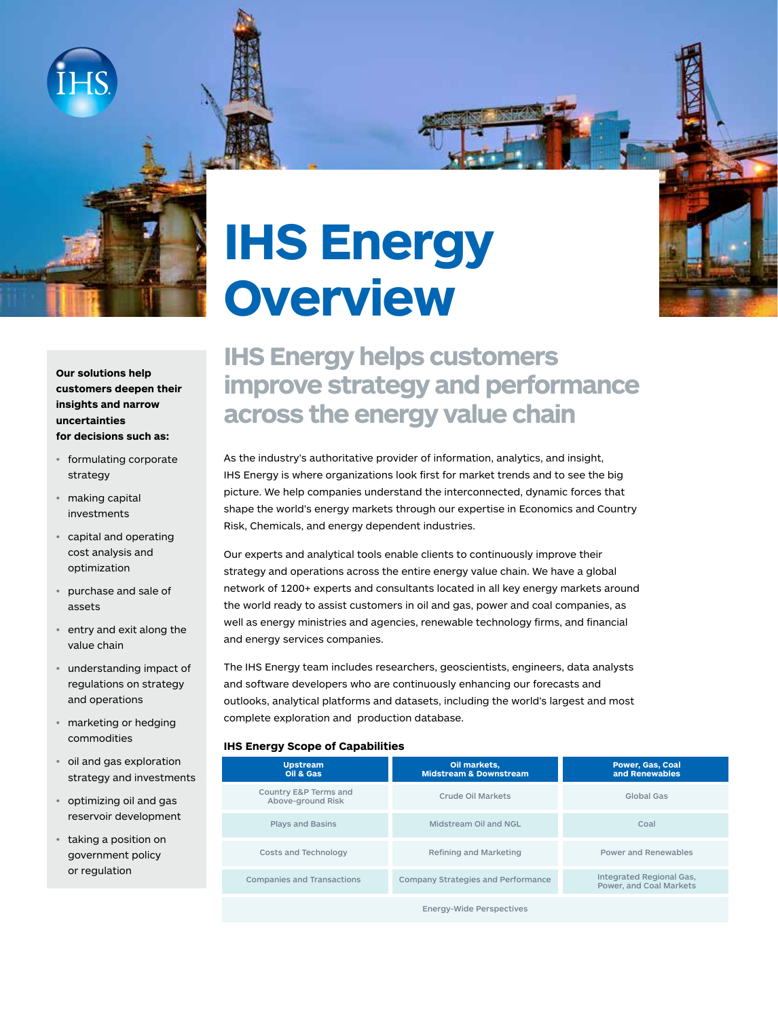

# **IHS Energy Overview**

**Our solutions help customers deepen their insights and narrow uncertainties for decisions such as:**

- formulating corporate strategy
- making capital investments
- capital and operating cost analysis and optimization
- purchase and sale of assets
- entry and exit along the value chain
- understanding impact of regulations on strategy and operations
- marketing or hedging commodities
- oil and gas exploration strategy and investments
- optimizing oil and gas reservoir development
- taking a position on government policy or regulation

# **IHS Energy helps customers improve strategy and performance across the energy value chain**

As the industry's authoritative provider of information, analytics, and insight, IHS Energy is where organizations look first for market trends and to see the big picture. We help companies understand the interconnected, dynamic forces that shape the world's energy markets through our expertise in Economics and Country Risk, Chemicals, and energy dependent industries.

Our experts and analytical tools enable clients to continuously improve their strategy and operations across the entire energy value chain. We have a global network of 1200+ experts and consultants located in all key energy markets around the world ready to assist customers in oil and gas, power and coal companies, as well as energy ministries and agencies, renewable technology firms, and financial and energy services companies.

The IHS Energy team includes researchers, geoscientists, engineers, data analysts and software developers who are continuously enhancing our forecasts and outlooks, analytical platforms and datasets, including the world's largest and most complete exploration and production database.

#### **IHS Energy Scope of Capabilities**

| <b>Upstream</b><br>Oil & Gas               | Oil markets,<br><b>Midstream &amp; Downstream</b> | <b>Power, Gas, Coal</b><br>and Renewables           |
|--------------------------------------------|---------------------------------------------------|-----------------------------------------------------|
| Country E&P Terms and<br>Above-ground Risk | Crude Oil Markets                                 | Global Gas                                          |
| <b>Plays and Basins</b>                    | Midstream Oil and NGL                             | Coal                                                |
| Costs and Technology                       | Refining and Marketing                            | Power and Renewables                                |
| <b>Companies and Transactions</b>          | Company Strategies and Performance                | Integrated Regional Gas,<br>Power, and Coal Markets |
|                                            | <b>Energy-Wide Perspectives</b>                   |                                                     |